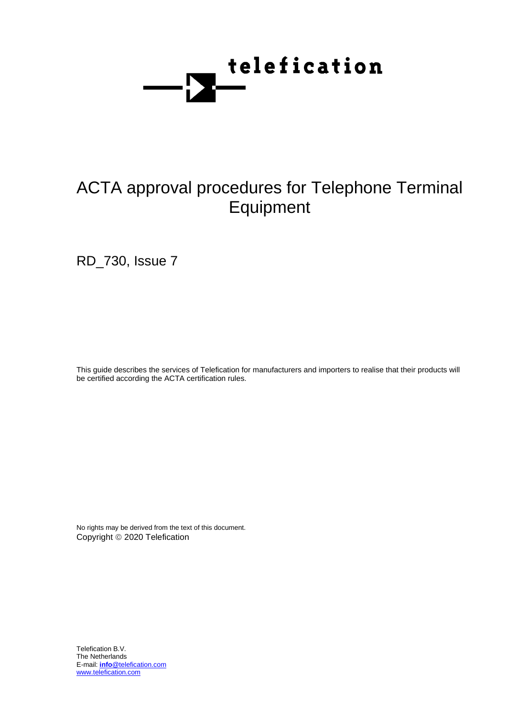

RD\_730, Issue 7

This guide describes the services of Telefication for manufacturers and importers to realise that their products will be certified according the ACTA certification rules.

No rights may be derived from the text of this document. Copyright © 2020 Telefication

Telefication B.V. The Netherlands E-mail: **info**@telefication.com www.telefication.com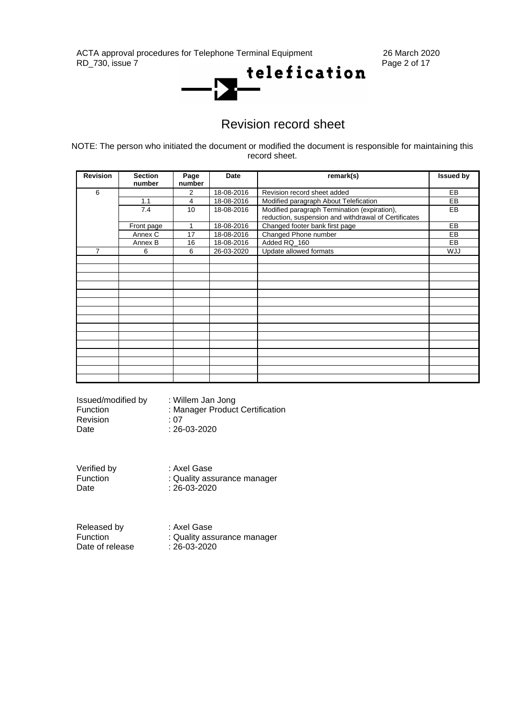ACTA approval procedures for Telephone Terminal Equipment 26 March 2020<br>RD 730, issue 7 Page 2 of 17



## Revision record sheet

NOTE: The person who initiated the document or modified the document is responsible for maintaining this record sheet.

| <b>Revision</b> | <b>Section</b><br>number | Page<br>number | Date       | remark(s)                                                                                            | <b>Issued by</b> |
|-----------------|--------------------------|----------------|------------|------------------------------------------------------------------------------------------------------|------------------|
| 6               |                          | 2              | 18-08-2016 | Revision record sheet added                                                                          | <b>EB</b>        |
|                 | 1.1                      | 4              | 18-08-2016 | Modified paragraph About Telefication                                                                | EB               |
|                 | 7.4                      | 10             | 18-08-2016 | Modified paragraph Termination (expiration),<br>reduction, suspension and withdrawal of Certificates | EB               |
|                 | Front page               | 1              | 18-08-2016 | Changed footer bank first page                                                                       | EB               |
|                 | Annex C                  | 17             | 18-08-2016 | Changed Phone number                                                                                 | EB               |
|                 | Annex B                  | 16             | 18-08-2016 | Added RQ 160                                                                                         | EB               |
| 7               | 6                        | 6              | 26-03-2020 | Update allowed formats                                                                               | <b>WJJ</b>       |
|                 |                          |                |            |                                                                                                      |                  |
|                 |                          |                |            |                                                                                                      |                  |
|                 |                          |                |            |                                                                                                      |                  |
|                 |                          |                |            |                                                                                                      |                  |
|                 |                          |                |            |                                                                                                      |                  |
|                 |                          |                |            |                                                                                                      |                  |
|                 |                          |                |            |                                                                                                      |                  |
|                 |                          |                |            |                                                                                                      |                  |
|                 |                          |                |            |                                                                                                      |                  |
|                 |                          |                |            |                                                                                                      |                  |
|                 |                          |                |            |                                                                                                      |                  |
|                 |                          |                |            |                                                                                                      |                  |
|                 |                          |                |            |                                                                                                      |                  |
|                 |                          |                |            |                                                                                                      |                  |
|                 |                          |                |            |                                                                                                      |                  |

| Issued/modified by<br>Function | : Willem Jan Jong<br>: Manager Product Certification |
|--------------------------------|------------------------------------------------------|
| <b>Revision</b>                | · 07<br>$: 26 - 03 - 2020$                           |
| Date                           |                                                      |

Verified by : Axel Gase Function : Quality assurance manager<br>Date : 26-03-2020  $: 26 - 03 - 2020$ 

| Released by     | : Axel Gase                 |
|-----------------|-----------------------------|
| Function        | : Quality assurance manager |
| Date of release | $: 26 - 03 - 2020$          |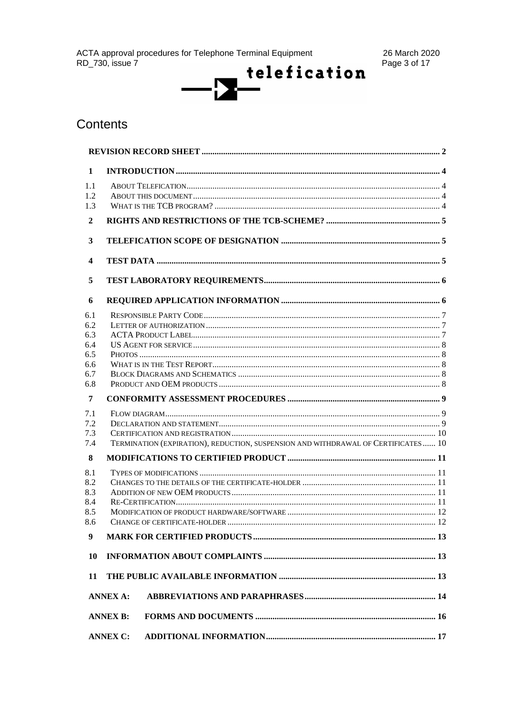

## Contents

| 1                |                 |                                                                                   |  |  |  |  |
|------------------|-----------------|-----------------------------------------------------------------------------------|--|--|--|--|
| 1.1              |                 |                                                                                   |  |  |  |  |
| 1.2              |                 |                                                                                   |  |  |  |  |
| 1.3              |                 |                                                                                   |  |  |  |  |
| $\overline{2}$   |                 |                                                                                   |  |  |  |  |
| 3                |                 |                                                                                   |  |  |  |  |
| 4                |                 |                                                                                   |  |  |  |  |
| 5                |                 |                                                                                   |  |  |  |  |
| 6                |                 |                                                                                   |  |  |  |  |
| 6.1              |                 |                                                                                   |  |  |  |  |
| 6.2              |                 |                                                                                   |  |  |  |  |
| 6.3              |                 |                                                                                   |  |  |  |  |
| 6.4              |                 |                                                                                   |  |  |  |  |
| 6.5              |                 |                                                                                   |  |  |  |  |
| 6.6              |                 |                                                                                   |  |  |  |  |
| 6.7              |                 |                                                                                   |  |  |  |  |
| 6.8              |                 |                                                                                   |  |  |  |  |
| $\overline{7}$   |                 |                                                                                   |  |  |  |  |
| 7.1              |                 |                                                                                   |  |  |  |  |
| 7.2              |                 |                                                                                   |  |  |  |  |
| 7.3              |                 |                                                                                   |  |  |  |  |
| 7.4              |                 | TERMINATION (EXPIRATION), REDUCTION, SUSPENSION AND WITHDRAWAL OF CERTIFICATES 10 |  |  |  |  |
| 8                |                 |                                                                                   |  |  |  |  |
| 8.1              |                 |                                                                                   |  |  |  |  |
| 8.2              |                 |                                                                                   |  |  |  |  |
| 8.3              |                 |                                                                                   |  |  |  |  |
| 8.4              |                 |                                                                                   |  |  |  |  |
| 8.5              |                 |                                                                                   |  |  |  |  |
| 8.6              |                 |                                                                                   |  |  |  |  |
| $\boldsymbol{9}$ |                 |                                                                                   |  |  |  |  |
| <b>10</b>        |                 |                                                                                   |  |  |  |  |
| 11               |                 |                                                                                   |  |  |  |  |
|                  | <b>ANNEX A:</b> |                                                                                   |  |  |  |  |
|                  | <b>ANNEX B:</b> |                                                                                   |  |  |  |  |
|                  | <b>ANNEX C:</b> |                                                                                   |  |  |  |  |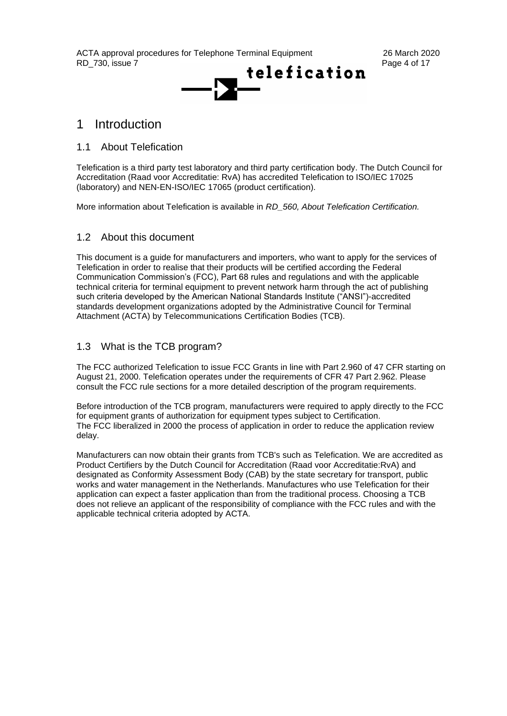

## 1 Introduction

### 1.1 About Telefication

Telefication is a third party test laboratory and third party certification body. The Dutch Council for Accreditation (Raad voor Accreditatie: RvA) has accredited Telefication to ISO/IEC 17025 (laboratory) and NEN-EN-ISO/IEC 17065 (product certification).

More information about Telefication is available in *RD\_560, About Telefication Certification.*

### 1.2 About this document

This document is a guide for manufacturers and importers, who want to apply for the services of Telefication in order to realise that their products will be certified according the Federal Communication Commission's (FCC), Part 68 rules and regulations and with the applicable technical criteria for terminal equipment to prevent network harm through the act of publishing such criteria developed by the American National Standards Institute ("ANSI")-accredited standards development organizations adopted by the Administrative Council for Terminal Attachment (ACTA) by Telecommunications Certification Bodies (TCB).

## 1.3 What is the TCB program?

The FCC authorized Telefication to issue FCC Grants in line with Part 2.960 of 47 CFR starting on August 21, 2000. Telefication operates under the requirements of CFR 47 Part 2.962. Please consult the FCC rule sections for a more detailed description of the program requirements.

Before introduction of the TCB program, manufacturers were required to apply directly to the FCC for equipment grants of authorization for equipment types subject to Certification. The FCC liberalized in 2000 the process of application in order to reduce the application review delay.

Manufacturers can now obtain their grants from TCB's such as Telefication. We are accredited as Product Certifiers by the Dutch Council for Accreditation (Raad voor Accreditatie:RvA) and designated as Conformity Assessment Body (CAB) by the state secretary for transport, public works and water management in the Netherlands. Manufactures who use Telefication for their application can expect a faster application than from the traditional process. Choosing a TCB does not relieve an applicant of the responsibility of compliance with the FCC rules and with the applicable technical criteria adopted by ACTA.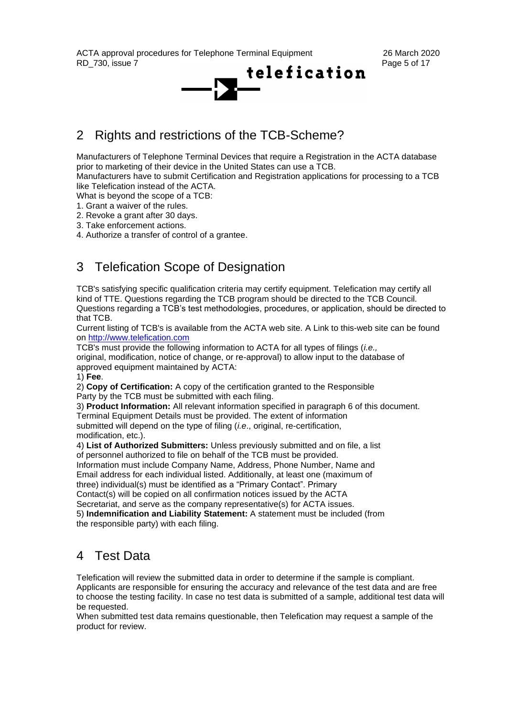

## 2 Rights and restrictions of the TCB-Scheme?

Manufacturers of Telephone Terminal Devices that require a Registration in the ACTA database prior to marketing of their device in the United States can use a TCB.

Manufacturers have to submit Certification and Registration applications for processing to a TCB like Telefication instead of the ACTA.

What is beyond the scope of a TCB:

1. Grant a waiver of the rules.

2. Revoke a grant after 30 days.

3. Take enforcement actions.

4. Authorize a transfer of control of a grantee.

## 3 Telefication Scope of Designation

TCB's satisfying specific qualification criteria may certify equipment. Telefication may certify all kind of TTE. Questions regarding the TCB program should be directed to the TCB Council. Questions regarding a TCB's test methodologies, procedures, or application, should be directed to that TCB.

Current listing of TCB's is available from the ACTA web site. A Link to this-web site can be found on [http://www.telefication.com](http://www.telefication.com/)

TCB's must provide the following information to ACTA for all types of filings (*i.e.,* original, modification, notice of change, or re-approval) to allow input to the database of approved equipment maintained by ACTA:

1) **Fee**.

2) **Copy of Certification:** A copy of the certification granted to the Responsible Party by the TCB must be submitted with each filing.

3) **Product Information:** All relevant information specified in paragraph 6 of this document. Terminal Equipment Details must be provided. The extent of information submitted will depend on the type of filing (*i.e*., original, re-certification, modification, etc.).

4) **List of Authorized Submitters:** Unless previously submitted and on file, a list of personnel authorized to file on behalf of the TCB must be provided.

Information must include Company Name, Address, Phone Number, Name and Email address for each individual listed. Additionally, at least one (maximum of

three) individual(s) must be identified as a "Primary Contact". Primary

Contact(s) will be copied on all confirmation notices issued by the ACTA

Secretariat, and serve as the company representative(s) for ACTA issues.

5) **Indemnification and Liability Statement:** A statement must be included (from the responsible party) with each filing.

## 4 Test Data

Telefication will review the submitted data in order to determine if the sample is compliant.

Applicants are responsible for ensuring the accuracy and relevance of the test data and are free to choose the testing facility. In case no test data is submitted of a sample, additional test data will be requested.

When submitted test data remains questionable, then Telefication may request a sample of the product for review.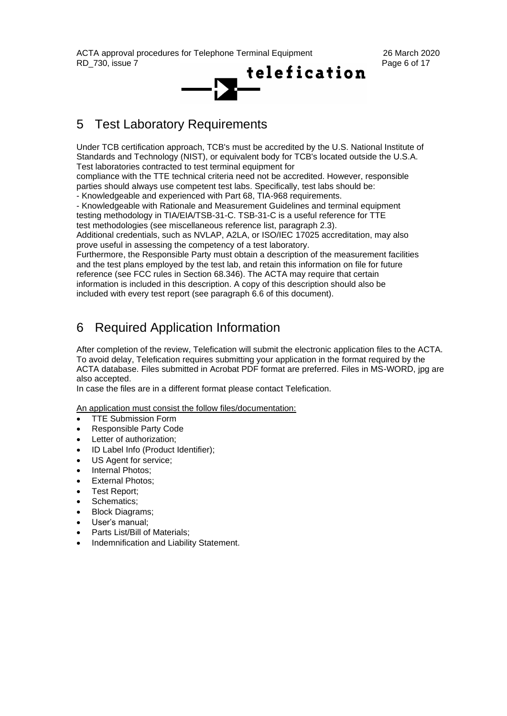

## 5 Test Laboratory Requirements

Under TCB certification approach, TCB's must be accredited by the U.S. National Institute of Standards and Technology (NIST), or equivalent body for TCB's located outside the U.S.A. Test laboratories contracted to test terminal equipment for

compliance with the TTE technical criteria need not be accredited. However, responsible parties should always use competent test labs. Specifically, test labs should be:

- Knowledgeable and experienced with Part 68, TIA-968 requirements.

- Knowledgeable with Rationale and Measurement Guidelines and terminal equipment testing methodology in TIA/EIA/TSB-31-C. TSB-31-C is a useful reference for TTE test methodologies (see miscellaneous reference list, paragraph 2.3).

Additional credentials, such as NVLAP, A2LA, or ISO/IEC 17025 accreditation, may also prove useful in assessing the competency of a test laboratory.

Furthermore, the Responsible Party must obtain a description of the measurement facilities and the test plans employed by the test lab, and retain this information on file for future reference (see FCC rules in Section 68.346). The ACTA may require that certain information is included in this description. A copy of this description should also be included with every test report (see paragraph 6.6 of this document).

## 6 Required Application Information

After completion of the review, Telefication will submit the electronic application files to the ACTA. To avoid delay, Telefication requires submitting your application in the format required by the ACTA database. Files submitted in Acrobat PDF format are preferred. Files in MS-WORD, jpg are also accepted.

In case the files are in a different format please contact Telefication.

An application must consist the follow files/documentation:

- TTE Submission Form
- Responsible Party Code
- Letter of authorization;
- ID Label Info (Product Identifier);
- US Agent for service;
- Internal Photos:
- **External Photos;**
- Test Report;
- Schematics;
- Block Diagrams;
- User's manual;
- Parts List/Bill of Materials:
- Indemnification and Liability Statement.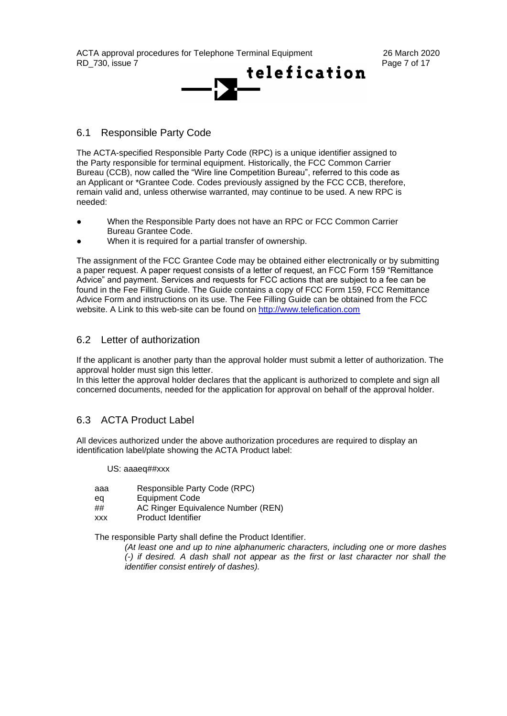

## 6.1 Responsible Party Code

The ACTA-specified Responsible Party Code (RPC) is a unique identifier assigned to the Party responsible for terminal equipment. Historically, the FCC Common Carrier Bureau (CCB), now called the "Wire line Competition Bureau", referred to this code as an Applicant or \*Grantee Code. Codes previously assigned by the FCC CCB, therefore, remain valid and, unless otherwise warranted, may continue to be used. A new RPC is needed:

- When the Responsible Party does not have an RPC or FCC Common Carrier Bureau Grantee Code.
- When it is required for a partial transfer of ownership.

The assignment of the FCC Grantee Code may be obtained either electronically or by submitting a paper request. A paper request consists of a letter of request, an FCC Form 159 "Remittance Advice" and payment. Services and requests for FCC actions that are subject to a fee can be found in the Fee Filling Guide. The Guide contains a copy of FCC Form 159, FCC Remittance Advice Form and instructions on its use. The Fee Filling Guide can be obtained from the FCC website. A Link to this web-site can be found on [http://www.telefication.com](http://www.telefication.com/)

### 6.2 Letter of authorization

If the applicant is another party than the approval holder must submit a letter of authorization. The approval holder must sign this letter.

In this letter the approval holder declares that the applicant is authorized to complete and sign all concerned documents, needed for the application for approval on behalf of the approval holder.

## 6.3 ACTA Product Label

All devices authorized under the above authorization procedures are required to display an identification label/plate showing the ACTA Product label:

#### US: aaaeq##xxx

- aaa Responsible Party Code (RPC)
- eq Equipment Code
- ## AC Ringer Equivalence Number (REN)
- xxx Product Identifier

The responsible Party shall define the Product Identifier.

*(At least one and up to nine alphanumeric characters, including one or more dashes (-) if desired. A dash shall not appear as the first or last character nor shall the identifier consist entirely of dashes).*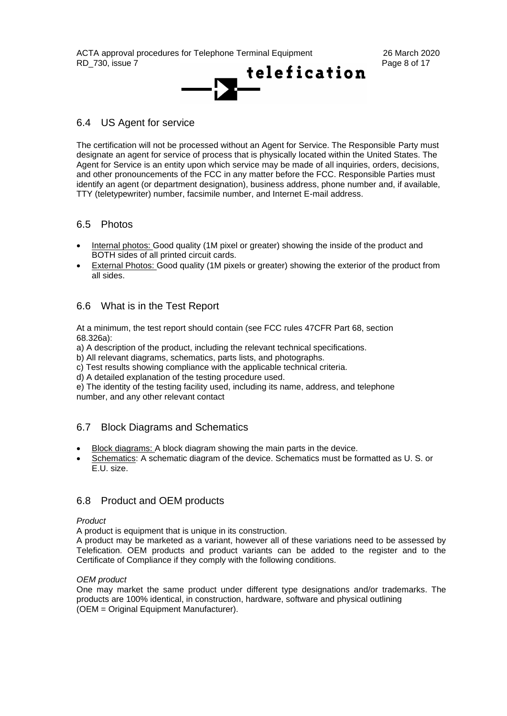

## 6.4 US Agent for service

The certification will not be processed without an Agent for Service. The Responsible Party must designate an agent for service of process that is physically located within the United States. The Agent for Service is an entity upon which service may be made of all inquiries, orders, decisions, and other pronouncements of the FCC in any matter before the FCC. Responsible Parties must identify an agent (or department designation), business address, phone number and, if available, TTY (teletypewriter) number, facsimile number, and Internet E-mail address.

## 6.5 Photos

- Internal photos: Good quality (1M pixel or greater) showing the inside of the product and BOTH sides of all printed circuit cards.
- External Photos: Good quality (1M pixels or greater) showing the exterior of the product from all sides.

## 6.6 What is in the Test Report

At a minimum, the test report should contain (see FCC rules 47CFR Part 68, section 68.326a):

a) A description of the product, including the relevant technical specifications.

b) All relevant diagrams, schematics, parts lists, and photographs.

c) Test results showing compliance with the applicable technical criteria.

d) A detailed explanation of the testing procedure used.

e) The identity of the testing facility used, including its name, address, and telephone number, and any other relevant contact

## 6.7 Block Diagrams and Schematics

- Block diagrams: A block diagram showing the main parts in the device.
- Schematics: A schematic diagram of the device. Schematics must be formatted as U. S. or E.U. size.

## 6.8 Product and OEM products

### *Product*

A product is equipment that is unique in its construction.

A product may be marketed as a variant, however all of these variations need to be assessed by Telefication. OEM products and product variants can be added to the register and to the Certificate of Compliance if they comply with the following conditions.

### *OEM product*

One may market the same product under different type designations and/or trademarks. The products are 100% identical, in construction, hardware, software and physical outlining (OEM = Original Equipment Manufacturer).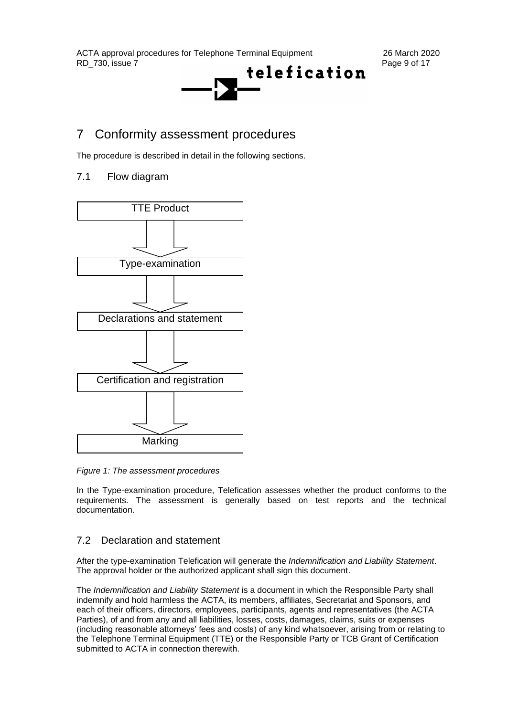

## 7 Conformity assessment procedures

The procedure is described in detail in the following sections.

## 7.1 Flow diagram



*Figure 1: The assessment procedures*

In the Type-examination procedure, Telefication assesses whether the product conforms to the requirements. The assessment is generally based on test reports and the technical documentation.

## 7.2 Declaration and statement

After the type-examination Telefication will generate the *Indemnification and Liability Statement*. The approval holder or the authorized applicant shall sign this document.

The *Indemnification and Liability Statement* is a document in which the Responsible Party shall indemnify and hold harmless the ACTA, its members, affiliates, Secretariat and Sponsors, and each of their officers, directors, employees, participants, agents and representatives (the ACTA Parties), of and from any and all liabilities, losses, costs, damages, claims, suits or expenses (including reasonable attorneys' fees and costs) of any kind whatsoever, arising from or relating to the Telephone Terminal Equipment (TTE) or the Responsible Party or TCB Grant of Certification submitted to ACTA in connection therewith.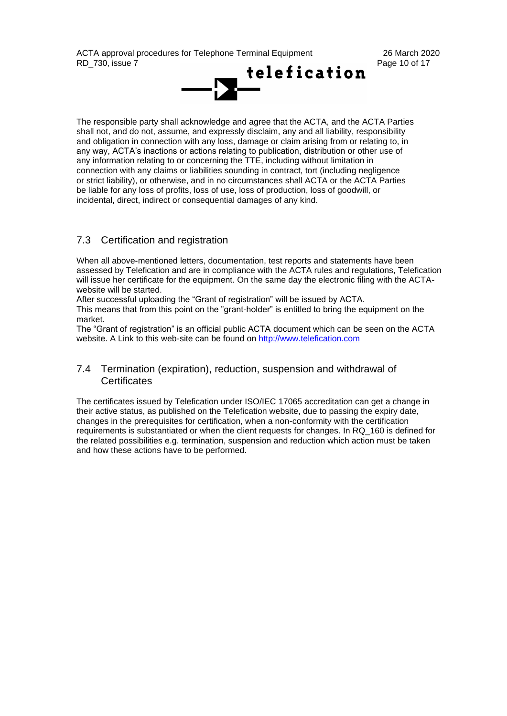

The responsible party shall acknowledge and agree that the ACTA, and the ACTA Parties shall not, and do not, assume, and expressly disclaim, any and all liability, responsibility and obligation in connection with any loss, damage or claim arising from or relating to, in any way, ACTA's inactions or actions relating to publication, distribution or other use of any information relating to or concerning the TTE, including without limitation in connection with any claims or liabilities sounding in contract, tort (including negligence or strict liability), or otherwise, and in no circumstances shall ACTA or the ACTA Parties be liable for any loss of profits, loss of use, loss of production, loss of goodwill, or incidental, direct, indirect or consequential damages of any kind.

## 7.3 Certification and registration

When all above-mentioned letters, documentation, test reports and statements have been assessed by Telefication and are in compliance with the ACTA rules and regulations, Telefication will issue her certificate for the equipment. On the same day the electronic filing with the ACTAwebsite will be started.

After successful uploading the "Grant of registration" will be issued by ACTA.

This means that from this point on the "grant-holder" is entitled to bring the equipment on the market.

The "Grant of registration" is an official public ACTA document which can be seen on the ACTA website. A Link to this web-site can be found on [http://www.telefication.com](http://www.telefication.com/)

## 7.4 Termination (expiration), reduction, suspension and withdrawal of **Certificates**

The certificates issued by Telefication under ISO/IEC 17065 accreditation can get a change in their active status, as published on the Telefication website, due to passing the expiry date, changes in the prerequisites for certification, when a non-conformity with the certification requirements is substantiated or when the client requests for changes. In RQ\_160 is defined for the related possibilities e.g. termination, suspension and reduction which action must be taken and how these actions have to be performed.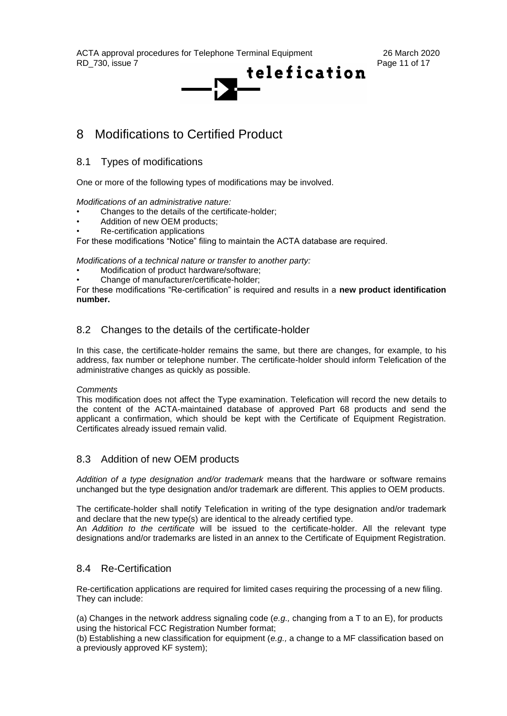

## 8 Modifications to Certified Product

8.1 Types of modifications

One or more of the following types of modifications may be involved.

#### *Modifications of an administrative nature:*

- Changes to the details of the certificate-holder;
- Addition of new OEM products;
- Re-certification applications

For these modifications "Notice" filing to maintain the ACTA database are required.

*Modifications of a technical nature or transfer to another party:*

- Modification of product hardware/software;
- Change of manufacturer/certificate-holder;

For these modifications "Re-certification" is required and results in a **new product identification number.**

## 8.2 Changes to the details of the certificate-holder

In this case, the certificate-holder remains the same, but there are changes, for example, to his address, fax number or telephone number. The certificate-holder should inform Telefication of the administrative changes as quickly as possible.

#### *Comments*

This modification does not affect the Type examination. Telefication will record the new details to the content of the ACTA-maintained database of approved Part 68 products and send the applicant a confirmation, which should be kept with the Certificate of Equipment Registration. Certificates already issued remain valid.

## 8.3 Addition of new OEM products

*Addition of a type designation and/or trademark* means that the hardware or software remains unchanged but the type designation and/or trademark are different. This applies to OEM products.

The certificate-holder shall notify Telefication in writing of the type designation and/or trademark and declare that the new type(s) are identical to the already certified type.

An *Addition to the certificate* will be issued to the certificate-holder. All the relevant type designations and/or trademarks are listed in an annex to the Certificate of Equipment Registration.

## 8.4 Re-Certification

Re-certification applications are required for limited cases requiring the processing of a new filing. They can include:

(a) Changes in the network address signaling code (*e.g.,* changing from a T to an E), for products using the historical FCC Registration Number format;

(b) Establishing a new classification for equipment (*e.g.,* a change to a MF classification based on a previously approved KF system);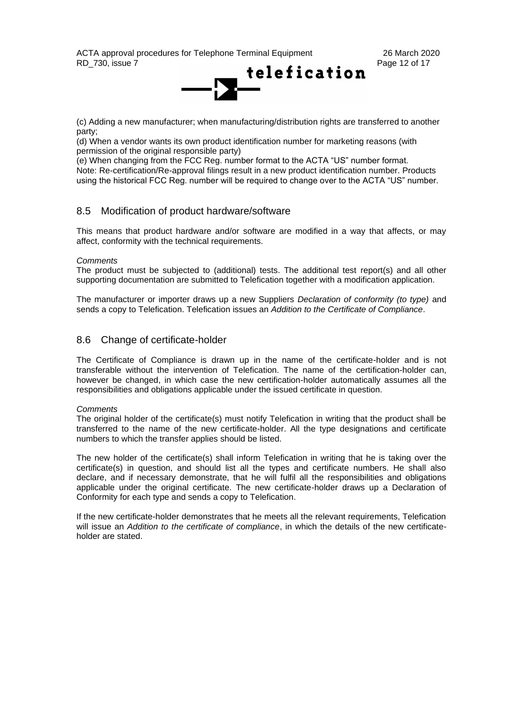

(c) Adding a new manufacturer; when manufacturing/distribution rights are transferred to another party;

(d) When a vendor wants its own product identification number for marketing reasons (with permission of the original responsible party)

(e) When changing from the FCC Reg. number format to the ACTA "US" number format. Note: Re-certification/Re-approval filings result in a new product identification number. Products using the historical FCC Reg. number will be required to change over to the ACTA "US" number.

## 8.5 Modification of product hardware/software

This means that product hardware and/or software are modified in a way that affects, or may affect, conformity with the technical requirements.

#### *Comments*

The product must be subjected to (additional) tests. The additional test report(s) and all other supporting documentation are submitted to Telefication together with a modification application.

The manufacturer or importer draws up a new Suppliers *Declaration of conformity (to type)* and sends a copy to Telefication. Telefication issues an *Addition to the Certificate of Compliance*.

## 8.6 Change of certificate-holder

The Certificate of Compliance is drawn up in the name of the certificate-holder and is not transferable without the intervention of Telefication. The name of the certification-holder can, however be changed, in which case the new certification-holder automatically assumes all the responsibilities and obligations applicable under the issued certificate in question.

#### *Comments*

The original holder of the certificate(s) must notify Telefication in writing that the product shall be transferred to the name of the new certificate-holder. All the type designations and certificate numbers to which the transfer applies should be listed.

The new holder of the certificate(s) shall inform Telefication in writing that he is taking over the certificate(s) in question, and should list all the types and certificate numbers. He shall also declare, and if necessary demonstrate, that he will fulfil all the responsibilities and obligations applicable under the original certificate. The new certificate-holder draws up a Declaration of Conformity for each type and sends a copy to Telefication.

If the new certificate-holder demonstrates that he meets all the relevant requirements, Telefication will issue an *Addition to the certificate of compliance*, in which the details of the new certificateholder are stated.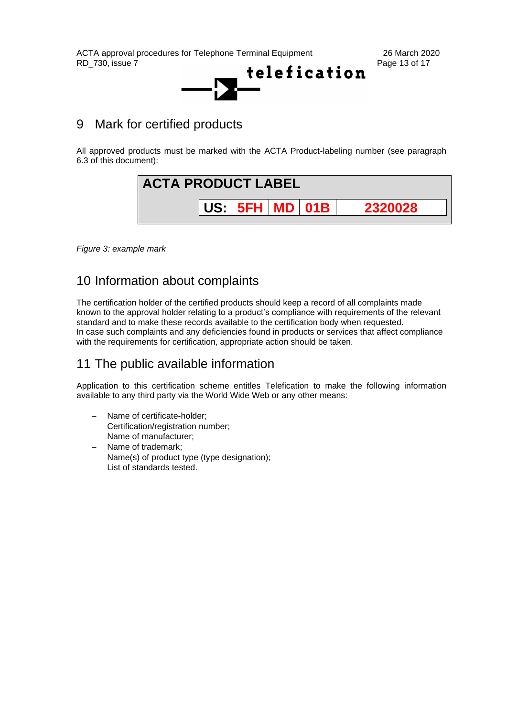ACTA approval procedures for Telephone Terminal Equipment 26 March 2020<br>RD 730. issue 7 Page 13 of 17



## 9 Mark for certified products

All approved products must be marked with the ACTA Product-labeling number (see paragraph 6.3 of this document):



*Figure 3: example mark* 

## 10 Information about complaints

The certification holder of the certified products should keep a record of all complaints made known to the approval holder relating to a product's compliance with requirements of the relevant standard and to make these records available to the certification body when requested. In case such complaints and any deficiencies found in products or services that affect compliance with the requirements for certification, appropriate action should be taken.

## 11 The public available information

Application to this certification scheme entitles Telefication to make the following information available to any third party via the World Wide Web or any other means:

- − Name of certificate-holder;
- − Certification/registration number;
- − Name of manufacturer;
- − Name of trademark;
- − Name(s) of product type (type designation);
- − List of standards tested.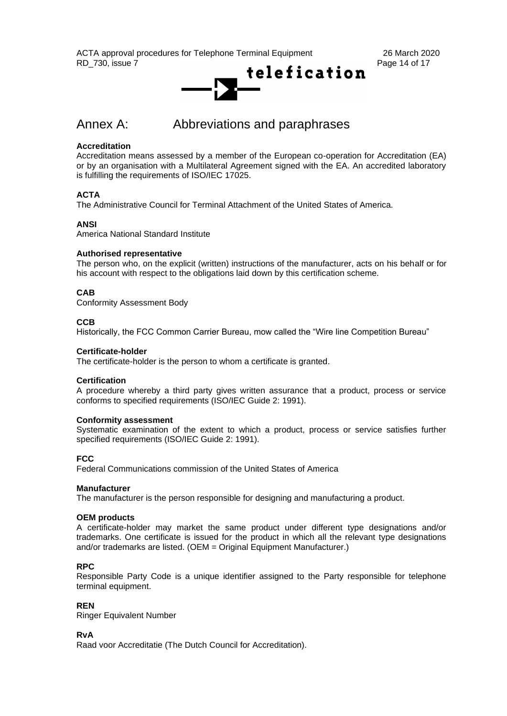

## Annex A: Abbreviations and paraphrases

### **Accreditation**

Accreditation means assessed by a member of the European co-operation for Accreditation (EA) or by an organisation with a Multilateral Agreement signed with the EA. An accredited laboratory is fulfilling the requirements of ISO/IEC 17025.

### **ACTA**

The Administrative Council for Terminal Attachment of the United States of America.

### **ANSI**

America National Standard Institute

### **Authorised representative**

The person who, on the explicit (written) instructions of the manufacturer, acts on his behalf or for his account with respect to the obligations laid down by this certification scheme.

### **CAB**

Conformity Assessment Body

#### **CCB**

Historically, the FCC Common Carrier Bureau, mow called the "Wire line Competition Bureau"

#### **Certificate-holder**

The certificate-holder is the person to whom a certificate is granted.

#### **Certification**

A procedure whereby a third party gives written assurance that a product, process or service conforms to specified requirements (ISO/IEC Guide 2: 1991).

#### **Conformity assessment**

Systematic examination of the extent to which a product, process or service satisfies further specified requirements (ISO/IEC Guide 2: 1991).

#### **FCC**

Federal Communications commission of the United States of America

#### **Manufacturer**

The manufacturer is the person responsible for designing and manufacturing a product.

#### **OEM products**

A certificate-holder may market the same product under different type designations and/or trademarks. One certificate is issued for the product in which all the relevant type designations and/or trademarks are listed. (OEM = Original Equipment Manufacturer.)

#### **RPC**

Responsible Party Code is a unique identifier assigned to the Party responsible for telephone terminal equipment.

#### **REN**

Ringer Equivalent Number

#### **RvA**

Raad voor Accreditatie (The Dutch Council for Accreditation).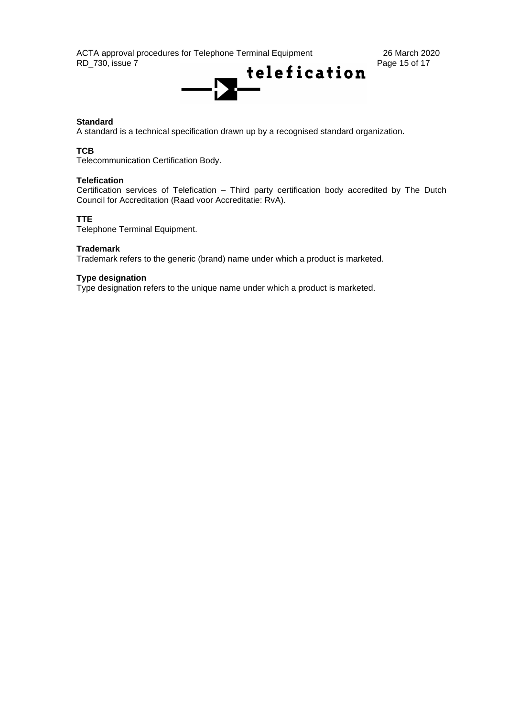ACTA approval procedures for Telephone Terminal Equipment 26 March 2020<br>RD 730, issue 7 Page 15 of 17



### **Standard**

A standard is a technical specification drawn up by a recognised standard organization.

#### **TCB**

Telecommunication Certification Body.

#### **Telefication**

Certification services of Telefication – Third party certification body accredited by The Dutch Council for Accreditation (Raad voor Accreditatie: RvA).

### **TTE**

Telephone Terminal Equipment.

#### **Trademark**

Trademark refers to the generic (brand) name under which a product is marketed.

#### **Type designation**

Type designation refers to the unique name under which a product is marketed.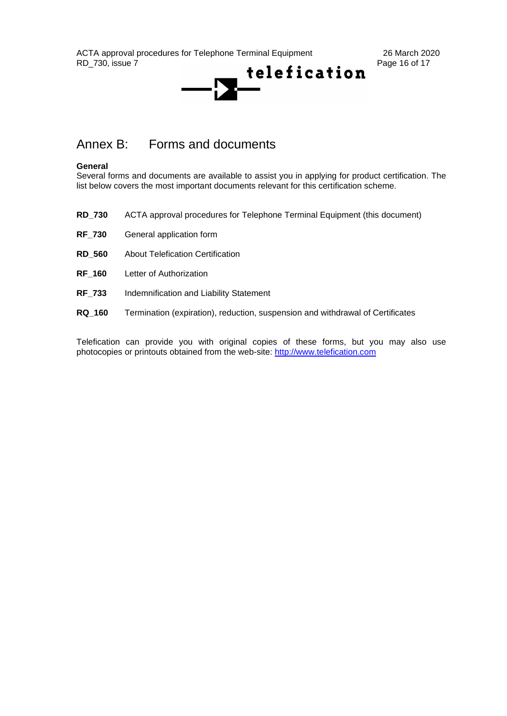ACTA approval procedures for Telephone Terminal Equipment 26 March 2020<br>RD 730, issue 7 Page 16 of 17



## Annex B: Forms and documents

#### **General**

Several forms and documents are available to assist you in applying for product certification. The list below covers the most important documents relevant for this certification scheme.

- **RD\_730** ACTA approval procedures for Telephone Terminal Equipment (this document)
- **RF\_730** General application form
- **RD\_560** About Telefication Certification
- **RF\_160** Letter of Authorization
- **RF\_733** Indemnification and Liability Statement
- **RQ\_160** Termination (expiration), reduction, suspension and withdrawal of Certificates

Telefication can provide you with original copies of these forms, but you may also use photocopies or printouts obtained from the web-site: http://www.telefication.com